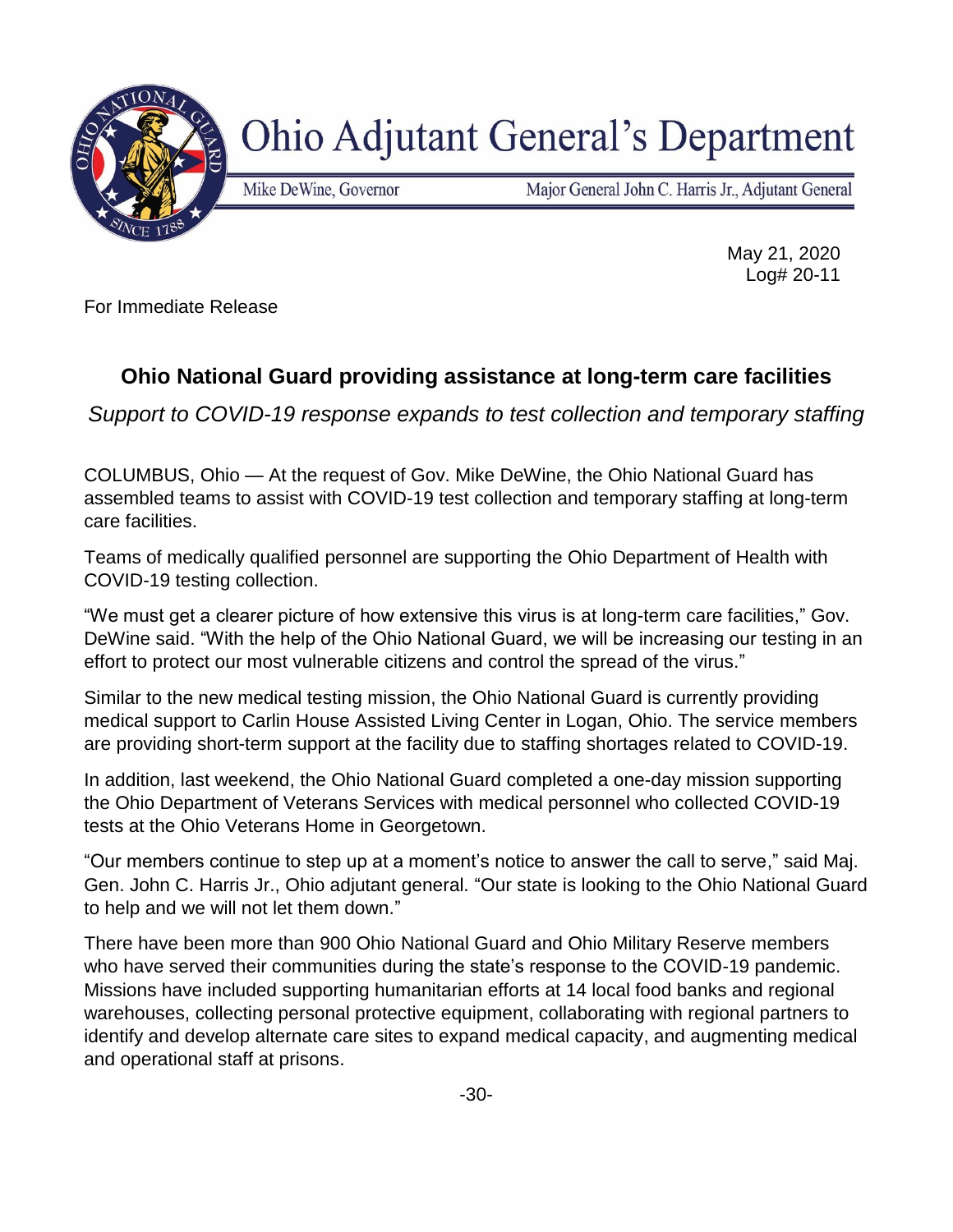

## **Ohio Adjutant General's Department**

Mike DeWine, Governor

Major General John C. Harris Jr., Adjutant General

May 21, 2020 Log# 20-11

For Immediate Release

## **Ohio National Guard providing assistance at long-term care facilities**

*Support to COVID-19 response expands to test collection and temporary staffing*

COLUMBUS, Ohio — At the request of Gov. Mike DeWine, the Ohio National Guard has assembled teams to assist with COVID-19 test collection and temporary staffing at long-term care facilities.

Teams of medically qualified personnel are supporting the Ohio Department of Health with COVID-19 testing collection.

"We must get a clearer picture of how extensive this virus is at long-term care facilities," Gov. DeWine said. "With the help of the Ohio National Guard, we will be increasing our testing in an effort to protect our most vulnerable citizens and control the spread of the virus."

Similar to the new medical testing mission, the Ohio National Guard is currently providing medical support to Carlin House Assisted Living Center in Logan, Ohio. The service members are providing short-term support at the facility due to staffing shortages related to COVID-19.

In addition, last weekend, the Ohio National Guard completed a one-day mission supporting the Ohio Department of Veterans Services with medical personnel who collected COVID-19 tests at the Ohio Veterans Home in Georgetown.

"Our members continue to step up at a moment's notice to answer the call to serve," said Maj. Gen. John C. Harris Jr., Ohio adjutant general. "Our state is looking to the Ohio National Guard to help and we will not let them down."

There have been more than 900 Ohio National Guard and Ohio Military Reserve members who have served their communities during the state's response to the COVID-19 pandemic. Missions have included supporting humanitarian efforts at 14 local food banks and regional warehouses, collecting personal protective equipment, collaborating with regional partners to identify and develop alternate care sites to expand medical capacity, and augmenting medical and operational staff at prisons.